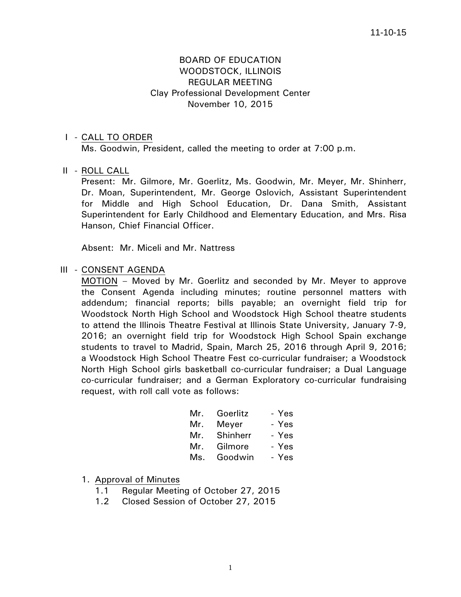# BOARD OF EDUCATION WOODSTOCK, ILLINOIS REGULAR MEETING Clay Professional Development Center November 10, 2015

## I - CALL TO ORDER

Ms. Goodwin, President, called the meeting to order at 7:00 p.m.

## II - ROLL CALL

 Present: Mr. Gilmore, Mr. Goerlitz, Ms. Goodwin, Mr. Meyer, Mr. Shinherr, Dr. Moan, Superintendent, Mr. George Oslovich, Assistant Superintendent for Middle and High School Education, Dr. Dana Smith, Assistant Superintendent for Early Childhood and Elementary Education, and Mrs. Risa Hanson, Chief Financial Officer.

Absent: Mr. Miceli and Mr. Nattress

## III - CONSENT AGENDA

 MOTION – Moved by Mr. Goerlitz and seconded by Mr. Meyer to approve the Consent Agenda including minutes; routine personnel matters with addendum; financial reports; bills payable; an overnight field trip for Woodstock North High School and Woodstock High School theatre students to attend the Illinois Theatre Festival at Illinois State University, January 7-9, 2016; an overnight field trip for Woodstock High School Spain exchange students to travel to Madrid, Spain, March 25, 2016 through April 9, 2016; a Woodstock High School Theatre Fest co-curricular fundraiser; a Woodstock North High School girls basketball co-curricular fundraiser; a Dual Language co-curricular fundraiser; and a German Exploratory co-curricular fundraising request, with roll call vote as follows:

|     | Mr. Goerlitz | - Yes |
|-----|--------------|-------|
|     | Mr. Meyer    | - Yes |
|     | Mr. Shinherr | - Yes |
|     | Mr. Gilmore  | - Yes |
| Ms. | Goodwin      | - Yes |

## 1. Approval of Minutes

- 1.1 Regular Meeting of October 27, 2015
- 1.2 Closed Session of October 27, 2015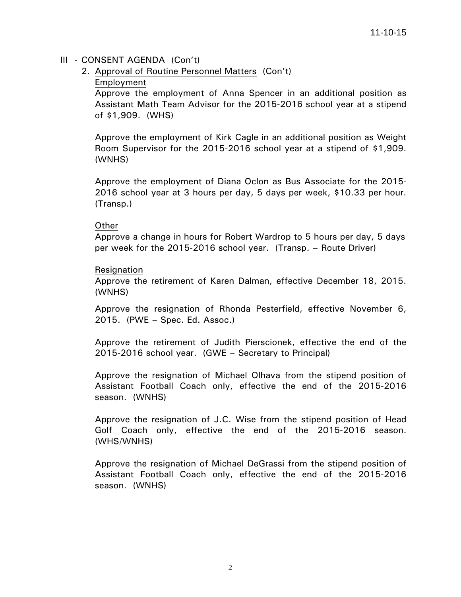# III - CONSENT AGENDA (Con't)

2. Approval of Routine Personnel Matters (Con't)

## Employment

Approve the employment of Anna Spencer in an additional position as Assistant Math Team Advisor for the 2015-2016 school year at a stipend of \$1,909. (WHS)

Approve the employment of Kirk Cagle in an additional position as Weight Room Supervisor for the 2015-2016 school year at a stipend of \$1,909. (WNHS)

Approve the employment of Diana Oclon as Bus Associate for the 2015- 2016 school year at 3 hours per day, 5 days per week, \$10.33 per hour. (Transp.)

## Other

Approve a change in hours for Robert Wardrop to 5 hours per day, 5 days per week for the 2015-2016 school year. (Transp. – Route Driver)

## Resignation

Approve the retirement of Karen Dalman, effective December 18, 2015. (WNHS)

Approve the resignation of Rhonda Pesterfield, effective November 6, 2015. (PWE – Spec. Ed. Assoc.)

Approve the retirement of Judith Pierscionek, effective the end of the 2015-2016 school year. (GWE – Secretary to Principal)

Approve the resignation of Michael Olhava from the stipend position of Assistant Football Coach only, effective the end of the 2015-2016 season. (WNHS)

Approve the resignation of J.C. Wise from the stipend position of Head Golf Coach only, effective the end of the 2015-2016 season. (WHS/WNHS)

Approve the resignation of Michael DeGrassi from the stipend position of Assistant Football Coach only, effective the end of the 2015-2016 season. (WNHS)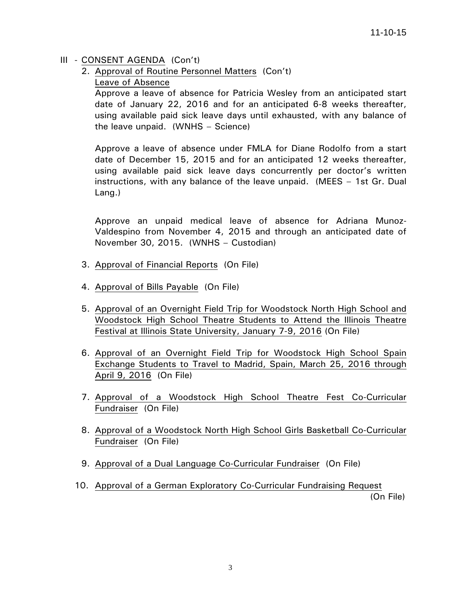# III - CONSENT AGENDA (Con't)

2. Approval of Routine Personnel Matters (Con't)

Leave of Absence

Approve a leave of absence for Patricia Wesley from an anticipated start date of January 22, 2016 and for an anticipated 6-8 weeks thereafter, using available paid sick leave days until exhausted, with any balance of the leave unpaid. (WNHS – Science)

Approve a leave of absence under FMLA for Diane Rodolfo from a start date of December 15, 2015 and for an anticipated 12 weeks thereafter, using available paid sick leave days concurrently per doctor's written instructions, with any balance of the leave unpaid. (MEES – 1st Gr. Dual Lang.)

Approve an unpaid medical leave of absence for Adriana Munoz-Valdespino from November 4, 2015 and through an anticipated date of November 30, 2015. (WNHS – Custodian)

- 3. Approval of Financial Reports (On File)
- 4. Approval of Bills Payable (On File)
- 5. Approval of an Overnight Field Trip for Woodstock North High School and Woodstock High School Theatre Students to Attend the Illinois Theatre Festival at Illinois State University, January 7-9, 2016 (On File)
- 6. Approval of an Overnight Field Trip for Woodstock High School Spain Exchange Students to Travel to Madrid, Spain, March 25, 2016 through April 9, 2016 (On File)
- 7. Approval of a Woodstock High School Theatre Fest Co-Curricular Fundraiser (On File)
- 8. Approval of a Woodstock North High School Girls Basketball Co-Curricular Fundraiser (On File)
- 9. Approval of a Dual Language Co-Curricular Fundraiser (On File)
- 10. Approval of a German Exploratory Co-Curricular Fundraising Request

(On File)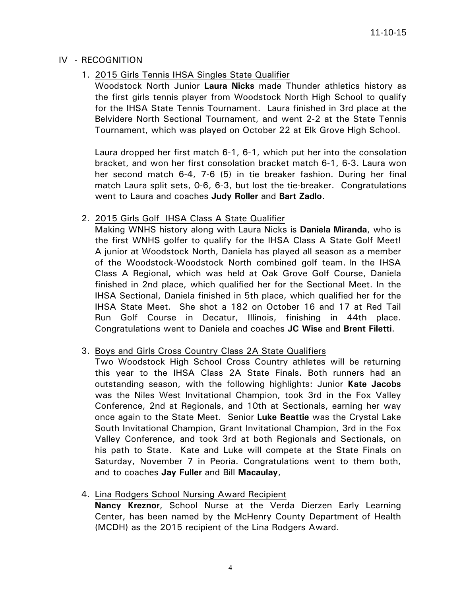# IV - RECOGNITION

1. 2015 Girls Tennis IHSA Singles State Qualifier

 Woodstock North Junior **Laura Nicks** made Thunder athletics history as the first girls tennis player from Woodstock North High School to qualify for the IHSA State Tennis Tournament. Laura finished in 3rd place at the Belvidere North Sectional Tournament, and went 2-2 at the State Tennis Tournament, which was played on October 22 at Elk Grove High School.

 Laura dropped her first match 6-1, 6-1, which put her into the consolation bracket, and won her first consolation bracket match 6-1, 6-3. Laura won her second match 6-4, 7-6 (5) in tie breaker fashion. During her final match Laura split sets, 0-6, 6-3, but lost the tie-breaker. Congratulations went to Laura and coaches **Judy Roller** and **Bart Zadlo**.

# 2. 2015 Girls Golf IHSA Class A State Qualifier

 Making WNHS history along with Laura Nicks is **Daniela Miranda**, who is the first WNHS golfer to qualify for the IHSA Class A State Golf Meet! A junior at Woodstock North, Daniela has played all season as a member of the Woodstock-Woodstock North combined golf team. In the IHSA Class A Regional, which was held at Oak Grove Golf Course, Daniela finished in 2nd place, which qualified her for the Sectional Meet. In the IHSA Sectional, Daniela finished in 5th place, which qualified her for the IHSA State Meet. She shot a 182 on October 16 and 17 at Red Tail Run Golf Course in Decatur, Illinois, finishing in 44th place. Congratulations went to Daniela and coaches **JC Wise** and **Brent Filetti**.

# 3. Boys and Girls Cross Country Class 2A State Qualifiers

 Two Woodstock High School Cross Country athletes will be returning this year to the IHSA Class 2A State Finals. Both runners had an outstanding season, with the following highlights: Junior **Kate Jacobs** was the Niles West Invitational Champion, took 3rd in the Fox Valley Conference, 2nd at Regionals, and 10th at Sectionals, earning her way once again to the State Meet. Senior **Luke Beattie** was the Crystal Lake South Invitational Champion, Grant Invitational Champion, 3rd in the Fox Valley Conference, and took 3rd at both Regionals and Sectionals, on his path to State. Kate and Luke will compete at the State Finals on Saturday, November 7 in Peoria. Congratulations went to them both, and to coaches **Jay Fuller** and Bill **Macaulay**,

# 4. Lina Rodgers School Nursing Award Recipient

**Nancy Kreznor**, School Nurse at the Verda Dierzen Early Learning Center, has been named by the McHenry County Department of Health (MCDH) as the 2015 recipient of the Lina Rodgers Award.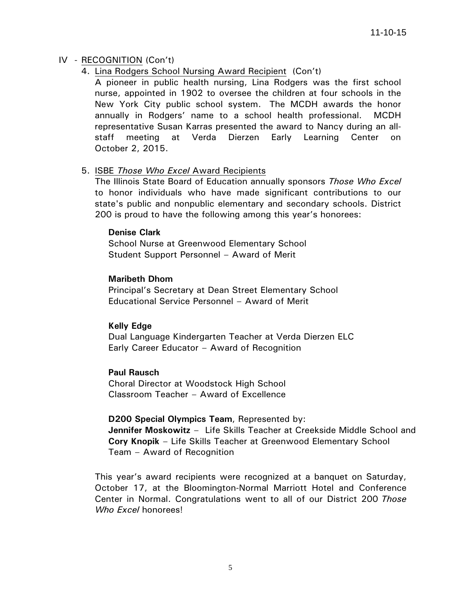# IV - RECOGNITION (Con't)

4. Lina Rodgers School Nursing Award Recipient (Con't)

 A pioneer in public health nursing, Lina Rodgers was the first school nurse, appointed in 1902 to oversee the children at four schools in the New York City public school system. The MCDH awards the honor annually in Rodgers' name to a school health professional. MCDH representative Susan Karras presented the award to Nancy during an allstaff meeting at Verda Dierzen Early Learning Center on October 2, 2015.

# 5. ISBE *Those Who Excel* Award Recipients

 The Illinois State Board of Education annually sponsors *Those Who Excel* to honor individuals who have made significant contributions to our state's public and nonpublic elementary and secondary schools. District 200 is proud to have the following among this year's honorees:

## **Denise Clark**

School Nurse at Greenwood Elementary School Student Support Personnel – Award of Merit

## **Maribeth Dhom**

Principal's Secretary at Dean Street Elementary School Educational Service Personnel – Award of Merit

# **Kelly Edge**

Dual Language Kindergarten Teacher at Verda Dierzen ELC Early Career Educator – Award of Recognition

## **Paul Rausch**

Choral Director at Woodstock High School Classroom Teacher – Award of Excellence

**D200 Special Olympics Team**, Represented by: **Jennifer Moskowitz** – Life Skills Teacher at Creekside Middle School and **Cory Knopik** – Life Skills Teacher at Greenwood Elementary School Team – Award of Recognition

 This year's award recipients were recognized at a banquet on Saturday, October 17, at the Bloomington-Normal Marriott Hotel and Conference Center in Normal. Congratulations went to all of our District 200 *Those Who Excel* honorees!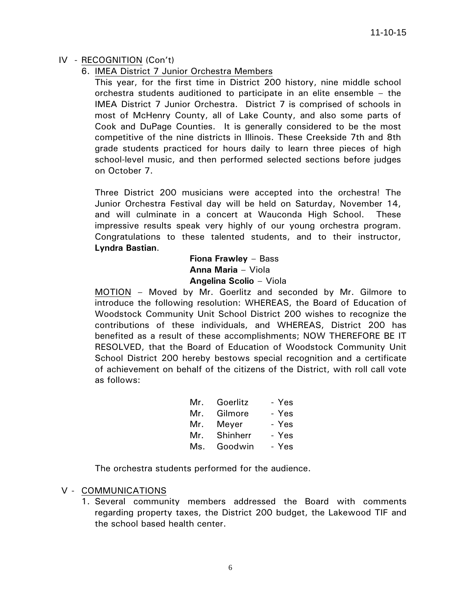# IV - RECOGNITION (Con't)

# 6. IMEA District 7 Junior Orchestra Members

 This year, for the first time in District 200 history, nine middle school orchestra students auditioned to participate in an elite ensemble – the IMEA District 7 Junior Orchestra. District 7 is comprised of schools in most of McHenry County, all of Lake County, and also some parts of Cook and DuPage Counties. It is generally considered to be the most competitive of the nine districts in Illinois. These Creekside 7th and 8th grade students practiced for hours daily to learn three pieces of high school-level music, and then performed selected sections before judges on October 7.

 Three District 200 musicians were accepted into the orchestra! The Junior Orchestra Festival day will be held on Saturday, November 14, and will culminate in a concert at Wauconda High School. These impressive results speak very highly of our young orchestra program. Congratulations to these talented students, and to their instructor, **Lyndra Bastian**.

> **Fiona Frawley** – Bass **Anna Maria** – Viola **Angelina Scolio** – Viola

 MOTION – Moved by Mr. Goerlitz and seconded by Mr. Gilmore to introduce the following resolution: WHEREAS, the Board of Education of Woodstock Community Unit School District 200 wishes to recognize the contributions of these individuals, and WHEREAS, District 200 has benefited as a result of these accomplishments; NOW THEREFORE BE IT RESOLVED, that the Board of Education of Woodstock Community Unit School District 200 hereby bestows special recognition and a certificate of achievement on behalf of the citizens of the District, with roll call vote as follows:

| Mr. | Goerlitz     | - Yes |
|-----|--------------|-------|
| Mr. | Gilmore      | - Yes |
| Mr. | Mever        | - Yes |
|     | Mr. Shinherr | - Yes |
| Ms. | Goodwin      | - Yes |

The orchestra students performed for the audience.

# V - COMMUNICATIONS

1. Several community members addressed the Board with comments regarding property taxes, the District 200 budget, the Lakewood TIF and the school based health center.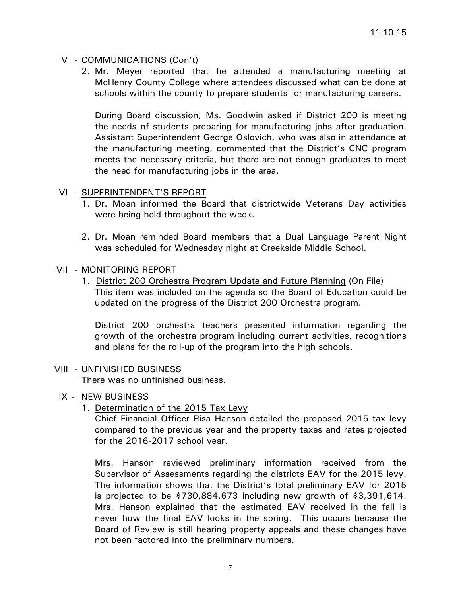# V - COMMUNICATIONS (Con't)

2. Mr. Meyer reported that he attended a manufacturing meeting at McHenry County College where attendees discussed what can be done at schools within the county to prepare students for manufacturing careers.

During Board discussion, Ms. Goodwin asked if District 200 is meeting the needs of students preparing for manufacturing jobs after graduation. Assistant Superintendent George Oslovich, who was also in attendance at the manufacturing meeting, commented that the District's CNC program meets the necessary criteria, but there are not enough graduates to meet the need for manufacturing jobs in the area.

## VI - SUPERINTENDENT'S REPORT

- 1. Dr. Moan informed the Board that districtwide Veterans Day activities were being held throughout the week.
- 2. Dr. Moan reminded Board members that a Dual Language Parent Night was scheduled for Wednesday night at Creekside Middle School.

## VII - MONITORING REPORT

 1. District 200 Orchestra Program Update and Future Planning (On File) This item was included on the agenda so the Board of Education could be updated on the progress of the District 200 Orchestra program.

 District 200 orchestra teachers presented information regarding the growth of the orchestra program including current activities, recognitions and plans for the roll-up of the program into the high schools.

## VIII - UNFINISHED BUSINESS

There was no unfinished business.

- IX NEW BUSINESS
	- 1. Determination of the 2015 Tax Levy

Chief Financial Officer Risa Hanson detailed the proposed 2015 tax levy compared to the previous year and the property taxes and rates projected for the 2016-2017 school year.

Mrs. Hanson reviewed preliminary information received from the Supervisor of Assessments regarding the districts EAV for the 2015 levy. The information shows that the District's total preliminary EAV for 2015 is projected to be \$730,884,673 including new growth of \$3,391,614. Mrs. Hanson explained that the estimated EAV received in the fall is never how the final EAV looks in the spring. This occurs because the Board of Review is still hearing property appeals and these changes have not been factored into the preliminary numbers.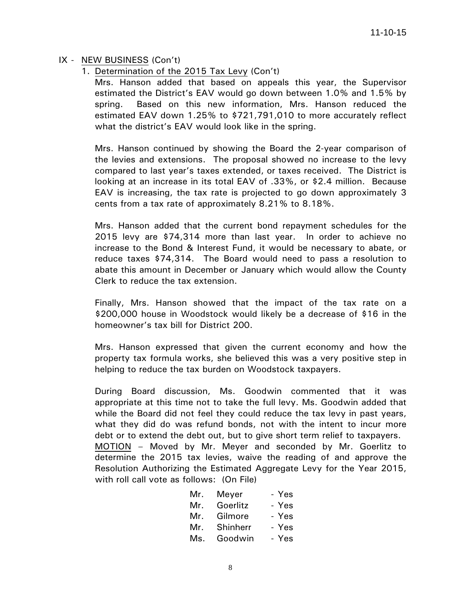## IX - NEW BUSINESS (Con't)

1. Determination of the 2015 Tax Levy (Con't)

Mrs. Hanson added that based on appeals this year, the Supervisor estimated the District's EAV would go down between 1.0% and 1.5% by spring. Based on this new information, Mrs. Hanson reduced the estimated EAV down 1.25% to \$721,791,010 to more accurately reflect what the district's EAV would look like in the spring.

Mrs. Hanson continued by showing the Board the 2-year comparison of the levies and extensions. The proposal showed no increase to the levy compared to last year's taxes extended, or taxes received. The District is looking at an increase in its total EAV of .33%, or \$2.4 million. Because EAV is increasing, the tax rate is projected to go down approximately 3 cents from a tax rate of approximately 8.21% to 8.18%.

Mrs. Hanson added that the current bond repayment schedules for the 2015 levy are \$74,314 more than last year. In order to achieve no increase to the Bond & Interest Fund, it would be necessary to abate, or reduce taxes \$74,314. The Board would need to pass a resolution to abate this amount in December or January which would allow the County Clerk to reduce the tax extension.

Finally, Mrs. Hanson showed that the impact of the tax rate on a \$200,000 house in Woodstock would likely be a decrease of \$16 in the homeowner's tax bill for District 200.

Mrs. Hanson expressed that given the current economy and how the property tax formula works, she believed this was a very positive step in helping to reduce the tax burden on Woodstock taxpayers.

During Board discussion, Ms. Goodwin commented that it was appropriate at this time not to take the full levy. Ms. Goodwin added that while the Board did not feel they could reduce the tax levy in past years, what they did do was refund bonds, not with the intent to incur more debt or to extend the debt out, but to give short term relief to taxpayers. MOTION – Moved by Mr. Meyer and seconded by Mr. Goerlitz to determine the 2015 tax levies, waive the reading of and approve the

Resolution Authorizing the Estimated Aggregate Levy for the Year 2015,

| with roll call vote as follows: (On File) |              |       |
|-------------------------------------------|--------------|-------|
|                                           | Mr. Meyer    | - Yes |
| Mr.                                       | Goerlitz     | - Yes |
|                                           | Mr. Gilmore  | - Yes |
|                                           | Mr. Shinherr | - Yes |
| Ms.                                       | Goodwin      | - Yes |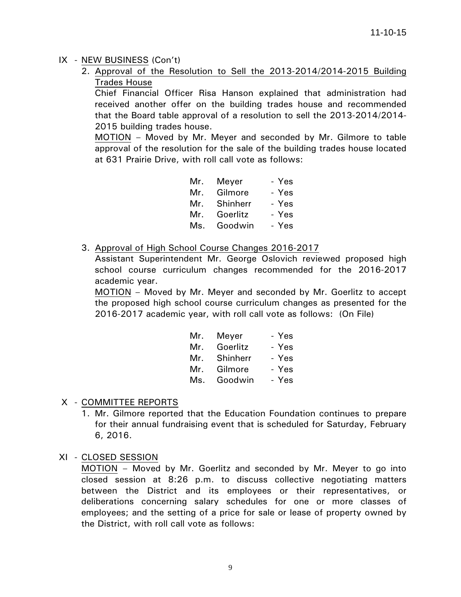# IX - NEW BUSINESS (Con't)

2. Approval of the Resolution to Sell the 2013-2014/2014-2015 Building Trades House

Chief Financial Officer Risa Hanson explained that administration had received another offer on the building trades house and recommended that the Board table approval of a resolution to sell the 2013-2014/2014- 2015 building trades house.

MOTION – Moved by Mr. Meyer and seconded by Mr. Gilmore to table approval of the resolution for the sale of the building trades house located at 631 Prairie Drive, with roll call vote as follows:

|     | - Yes<br>Mr. Meyer |
|-----|--------------------|
| Mr. | - Yes<br>Gilmore   |
| Mr. | Shinherr<br>- Yes  |
| Mr. | - Yes<br>Goerlitz  |
| Ms. | - Yes<br>Goodwin   |

3. Approval of High School Course Changes 2016-2017

Assistant Superintendent Mr. George Oslovich reviewed proposed high school course curriculum changes recommended for the 2016-2017 academic year.

MOTION – Moved by Mr. Meyer and seconded by Mr. Goerlitz to accept the proposed high school course curriculum changes as presented for the 2016-2017 academic year, with roll call vote as follows: (On File)

|     | Mr. Meyer | - Yes |
|-----|-----------|-------|
| Mr. | Goerlitz  | - Yes |
| Mr. | Shinherr  | - Yes |
| Mr. | Gilmore   | - Yes |
| Ms. | Goodwin   | - Yes |

# X - COMMITTEE REPORTS

- 1. Mr. Gilmore reported that the Education Foundation continues to prepare for their annual fundraising event that is scheduled for Saturday, February 6, 2016.
- XI CLOSED SESSION

 MOTION – Moved by Mr. Goerlitz and seconded by Mr. Meyer to go into closed session at 8:26 p.m. to discuss collective negotiating matters between the District and its employees or their representatives, or deliberations concerning salary schedules for one or more classes of employees; and the setting of a price for sale or lease of property owned by the District, with roll call vote as follows: